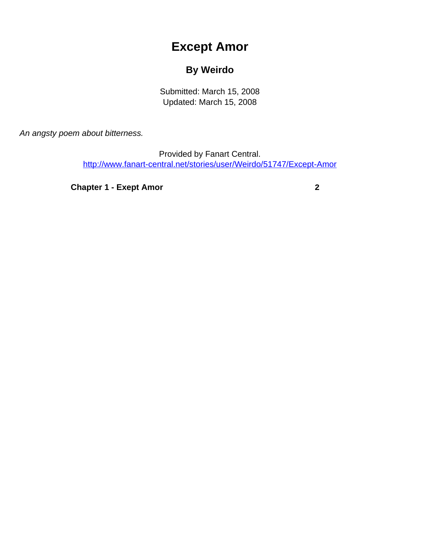## **Except Amor**

## **By Weirdo**

Submitted: March 15, 2008 Updated: March 15, 2008

<span id="page-0-0"></span>An angsty poem about bitterness.

Provided by Fanart Central. [http://www.fanart-central.net/stories/user/Weirdo/51747/Except-Amor](#page-0-0)

**[Chapter 1 - Exept Amor](#page-1-0)** [2](#page-1-0)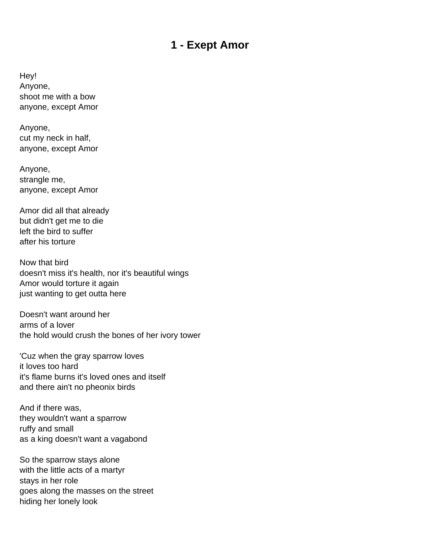## **1 - Exept Amor**

<span id="page-1-0"></span>Hey! Anyone, shoot me with a bow anyone, except Amor

Anyone, cut my neck in half, anyone, except Amor

Anyone, strangle me, anyone, except Amor

Amor did all that already but didn't get me to die left the bird to suffer after his torture

Now that bird doesn't miss it's health, nor it's beautiful wings Amor would torture it again just wanting to get outta here

Doesn't want around her arms of a lover the hold would crush the bones of her ivory tower

'Cuz when the gray sparrow loves it loves too hard it's flame burns it's loved ones and itself and there ain't no pheonix birds

And if there was, they wouldn't want a sparrow ruffy and small as a king doesn't want a vagabond

So the sparrow stays alone with the little acts of a martyr stays in her role goes along the masses on the street hiding her lonely look